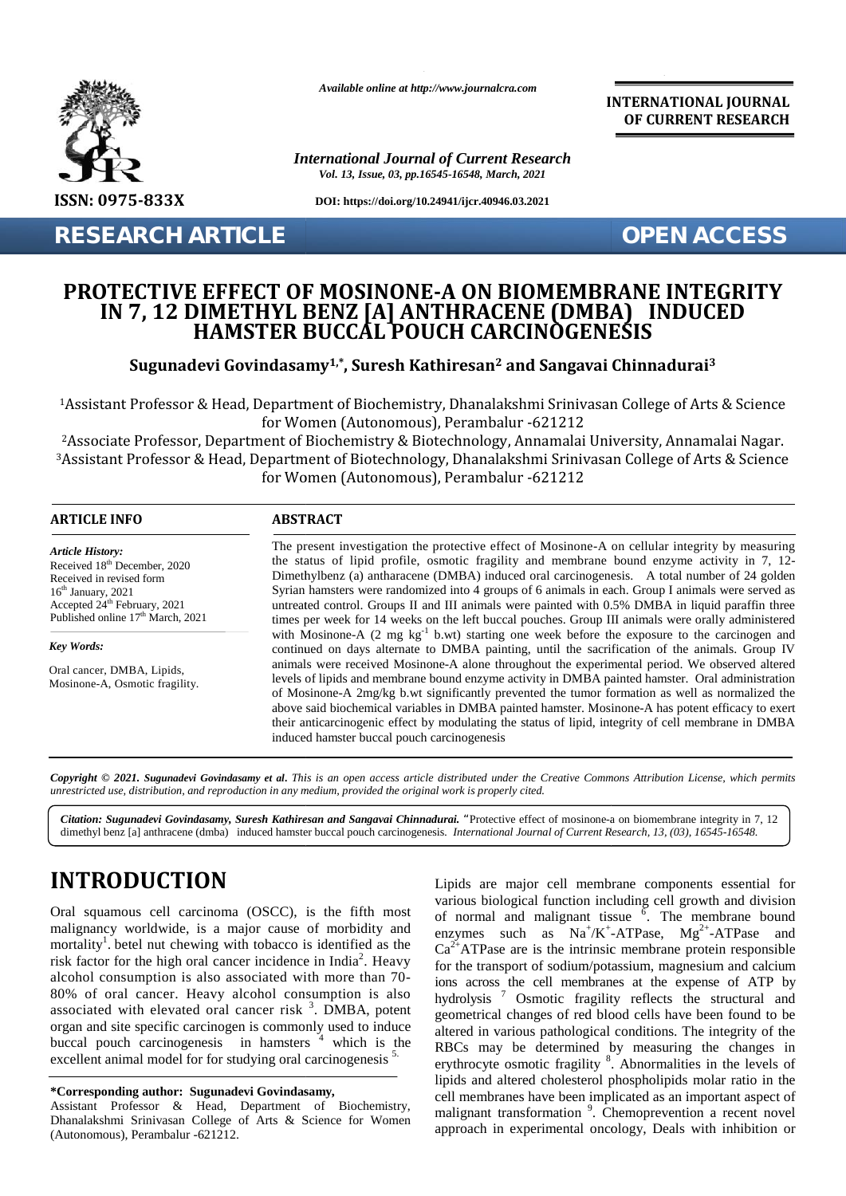

*Available online at http://www.journalcra.com*

*International Journal of Current Research Vol. 13, Issue, 03, pp.16545-16548, March, 2021*

**DOI: https://doi.org/10.24941/ijcr.40946.03.2021**

**RESEARCH ARTICLE OPEN ACCESS**

**INTERNATIONAL JOURNAL OF CURRENT RESEARCH**

## **PROTECTIVE EFFECT OF MOSINONE-A ON BIOMEMBRANE INTEGRITY IN 7, 12 DIMETHYL BENZ [A] ANTHRACENE (DMBA) INDUCED HAMSTER BUCCAL POUCH CARCINOGENESIS** PROTECTIVE EFFECT OF MOSINONE-A ON BIOMEMBRANE INTEGRITY<br>IN 7, 12 DIMETHYL BENZ [A] ANTHRACENE (DMBA) \_INDUCED

**Sugunadevi Govindasamy1,\*, Suresh Kathiresan<sup>2</sup> and Sangavai Chinnadurai<sup>3</sup>**

<sup>1</sup>Assistant Professor & Head, Department of Biochemistry, Dhanalakshmi Srinivasan College of Arts & Science for Women (Autonomous), Perambalur -621212 for Women (Autonomous),

<sup>2</sup>Associate Professor, Department of Biochemistry & Biotechnology, Annamalai University, Annamalai Nagar. <sup>3</sup>Assistant Professor & Head, Department of Biotechnology, Dhanalakshmi Srinivasan College of Arts & Science 3& Head, Department for Women (Autonomous), for Women (Autonomous), Perambalur -621212

| <b>ARTICLE INFO</b>                                                                                                                                                                                                                                                                                                                                                                                                                                                                                                                                                                                                                                                                                                      | <b>ABSTRACT</b><br>The present investigation the protective effect of Mosinone-A on cellular integrity by measuring<br>the status of lipid profile, osmotic fragility and membrane bound enzyme activity in 7, 12-<br>Dimethylbenz (a) antharacene (DMBA) induced oral carcinogenesis. A total number of 24 golden<br>Syrian hamsters were randomized into 4 groups of 6 animals in each. Group I animals were served as<br>untreated control. Groups II and III animals were painted with 0.5% DMBA in liquid paraffin three<br>times per week for 14 weeks on the left buccal pouches. Group III animals were orally administered                                                                                                                                  |                                                                                                                                                                                                                                                                                                                                                                                                                                                                                                                                                                                                                                                                                                                                                                                                      |  |  |
|--------------------------------------------------------------------------------------------------------------------------------------------------------------------------------------------------------------------------------------------------------------------------------------------------------------------------------------------------------------------------------------------------------------------------------------------------------------------------------------------------------------------------------------------------------------------------------------------------------------------------------------------------------------------------------------------------------------------------|----------------------------------------------------------------------------------------------------------------------------------------------------------------------------------------------------------------------------------------------------------------------------------------------------------------------------------------------------------------------------------------------------------------------------------------------------------------------------------------------------------------------------------------------------------------------------------------------------------------------------------------------------------------------------------------------------------------------------------------------------------------------|------------------------------------------------------------------------------------------------------------------------------------------------------------------------------------------------------------------------------------------------------------------------------------------------------------------------------------------------------------------------------------------------------------------------------------------------------------------------------------------------------------------------------------------------------------------------------------------------------------------------------------------------------------------------------------------------------------------------------------------------------------------------------------------------------|--|--|
| <b>Article History:</b><br>Received 18 <sup>th</sup> December, 2020<br>Received in revised form<br>16 <sup>th</sup> January, 2021<br>Accepted 24 <sup>th</sup> February, 2021<br>Published online 17 <sup>th</sup> March, 2021                                                                                                                                                                                                                                                                                                                                                                                                                                                                                           |                                                                                                                                                                                                                                                                                                                                                                                                                                                                                                                                                                                                                                                                                                                                                                      |                                                                                                                                                                                                                                                                                                                                                                                                                                                                                                                                                                                                                                                                                                                                                                                                      |  |  |
| Key Words:<br>Oral cancer, DMBA, Lipids,<br>Mosinone-A, Osmotic fragility.                                                                                                                                                                                                                                                                                                                                                                                                                                                                                                                                                                                                                                               | with Mosinone-A (2 mg $kg-1$ b.wt) starting one week before the exposure to the carcinogen and<br>continued on days alternate to DMBA painting, until the sacrification of the animals. Group IV<br>animals were received Mosinone-A alone throughout the experimental period. We observed altered<br>levels of lipids and membrane bound enzyme activity in DMBA painted hamster. Oral administration<br>of Mosinone-A 2mg/kg b.wt significantly prevented the tumor formation as well as normalized the<br>above said biochemical variables in DMBA painted hamster. Mosinone-A has potent efficacy to exert<br>their anticarcinogenic effect by modulating the status of lipid, integrity of cell membrane in DMBA<br>induced hamster buccal pouch carcinogenesis |                                                                                                                                                                                                                                                                                                                                                                                                                                                                                                                                                                                                                                                                                                                                                                                                      |  |  |
| unrestricted use, distribution, and reproduction in any medium, provided the original work is properly cited.                                                                                                                                                                                                                                                                                                                                                                                                                                                                                                                                                                                                            |                                                                                                                                                                                                                                                                                                                                                                                                                                                                                                                                                                                                                                                                                                                                                                      | Copyright © 2021. Sugunadevi Govindasamy et al. This is an open access article distributed under the Creative Commons Attribution License, which permits<br>Citation: Sugunadevi Govindasamy, Suresh Kathiresan and Sangavai Chinnadurai. "Protective effect of mosinone-a on biomembrane integrity in 7, 12<br>dimethyl benz [a] anthracene (dmba) induced hamster buccal pouch carcinogenesis. International Journal of Current Research, 13, (03), 16545-16548.                                                                                                                                                                                                                                                                                                                                   |  |  |
| <b>INTRODUCTION</b><br>Oral squamous cell carcinoma (OSCC), is the fifth most<br>malignancy worldwide, is a major cause of morbidity and<br>mortality <sup>1</sup> betel nut chewing with tobacco is identified as the<br>risk factor for the high oral cancer incidence in India <sup>2</sup> . Heavy<br>alcohol consumption is also associated with more than 70-<br>80% of oral cancer. Heavy alcohol consumption is also<br>associated with elevated oral cancer risk <sup>3</sup> . DMBA, potent<br>organ and site specific carcinogen is commonly used to induce<br>buccal pouch carcinogenesis in hamsters <sup>4</sup> which is the<br>excellent animal model for for studying oral carcinogenesis <sup>5.</sup> |                                                                                                                                                                                                                                                                                                                                                                                                                                                                                                                                                                                                                                                                                                                                                                      | Lipids are major cell membrane components essential for<br>various biological function including cell growth and division<br>of normal and malignant tissue $6$ . The membrane bound<br>enzymes such as $Na^+/K^+$ -ATPase, $Mg^{2+}$ -ATPase and<br>$Ca^{2+}ATP$ ase are is the intrinsic membrane protein responsible<br>for the transport of sodium/potassium, magnesium and calcium<br>ions across the cell membranes at the expense of ATP by<br>hydrolysis <sup>7</sup> Osmotic fragility reflects the structural and<br>geometrical changes of red blood cells have been found to be<br>altered in various pathological conditions. The integrity of the<br>RBCs may be determined by measuring the changes in<br>erythrocyte osmotic fragility <sup>8</sup> . Abnormalities in the levels of |  |  |
| *Corresponding author: Sugunadevi Govindasamy,<br>Assistant Professor & Head, Department of Biochemistry,<br>Dhanalakshmi Srinivasan College of Arts & Science for Women<br>(Autonomous), Perambalur -621212.                                                                                                                                                                                                                                                                                                                                                                                                                                                                                                            |                                                                                                                                                                                                                                                                                                                                                                                                                                                                                                                                                                                                                                                                                                                                                                      | lipids and altered cholesterol phospholipids molar ratio in the<br>cell membranes have been implicated as an important aspect of<br>malignant transformation <sup>9</sup> . Chemoprevention a recent novel<br>approach in experimental oncology, Deals with inhibition or                                                                                                                                                                                                                                                                                                                                                                                                                                                                                                                            |  |  |

# **INTRODUCTION INTRODUCTION**

#### **\*Corresponding author: Sugunadevi Govindasamy, \*Corresponding**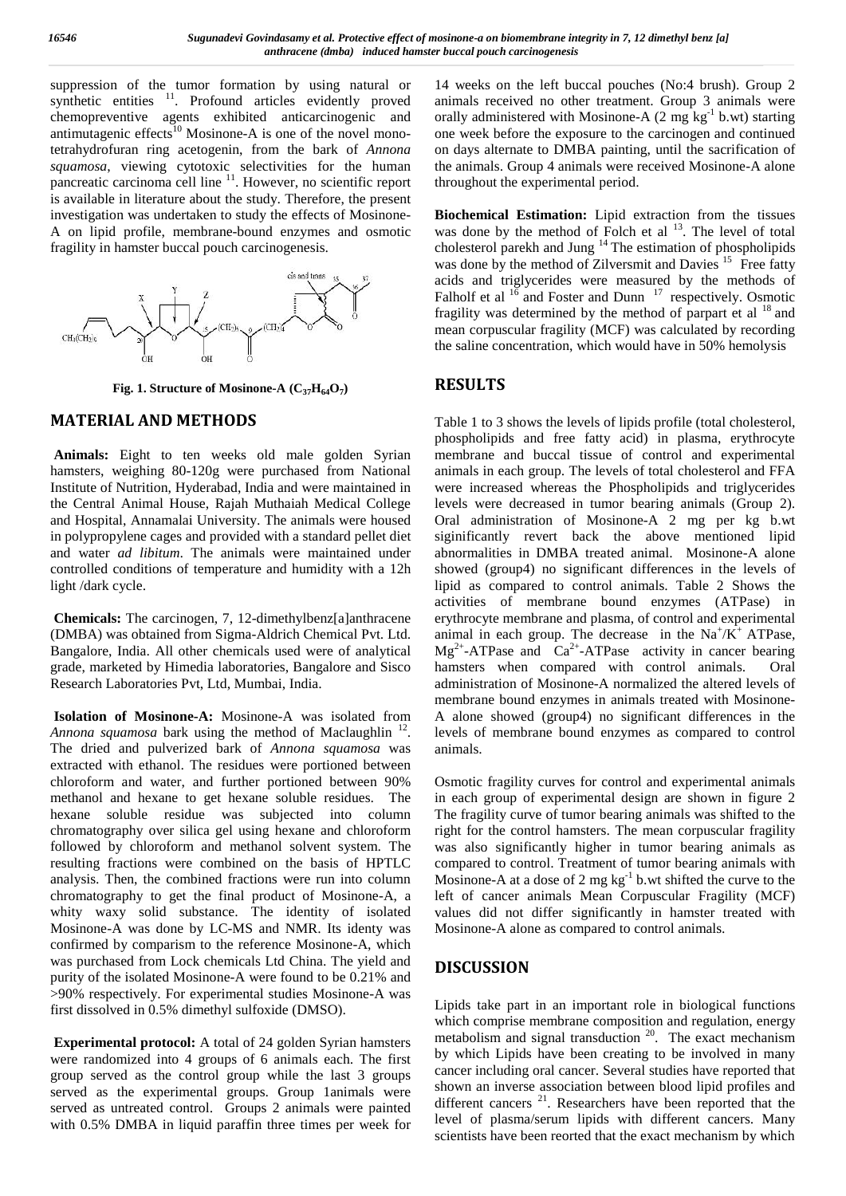suppression of the tumor formation by using natural or synthetic entities <sup>11</sup>. Profound articles evidently proved chemopreventive agents exhibited anticarcinogenic and antimutagenic effects<sup>10</sup> Mosinone-A is one of the novel monotetrahydrofuran ring acetogenin, from the bark of *Annona* squamosa, viewing cytotoxic selectivities for the human the a pancreatic carcinoma cell line  $11$ . However, no scientific report t is available in literature about the study. Therefore, the present investigation was undertaken to study the effects of Mosinone- A on lipid profile, membrane-bound enzymes and osmotic fragility in hamster buccal pouch carcinogenesis.



**Fig. 1. Structure of Mosinone-A (C37H64O<sup>7</sup> )**

#### **MATERIAL AND METHODS**

**Animals:** Eight to ten weeks old male golden Syrian hamsters, weighing 80-120g were purchased from National Institute of Nutrition, Hyderabad, India and were maintained in the Central Animal House, Rajah Muthaiah Medical College and Hospital, Annamalai University. The animals were housed in polypropylene cages and provided with a standard pellet diet and water *ad libitum*. The animals were maintained under controlled conditions of temperature and humidity with a 12h light /dark cycle.

**Chemicals:** The carcinogen, 7, 12-dimethylbenz[a]anthracene (DMBA) was obtained from Sigma-Aldrich Chemical Pvt. Ltd. Bangalore, India. All other chemicals used were of analytical grade, marketed by Himedia laboratories, Bangalore and Sisco Research Laboratories Pvt, Ltd, Mumbai, India.

**Isolation of Mosinone-A:** Mosinone-A was isolated from Annona squamosa bark using the method of Maclaughlin <sup>12</sup>. le The dried and pulverized bark of *Annona squamosa* was extracted with ethanol. The residues were portioned between chloroform and water, and further portioned between 90% methanol and hexane to get hexane soluble residues. The hexane soluble residue was subjected into column chromatography over silica gel using hexane and chloroform followed by chloroform and methanol solvent system. The resulting fractions were combined on the basis of HPTLC analysis. Then, the combined fractions were run into column chromatography to get the final product of Mosinone-A, a whity waxy solid substance. The identity of isolated Mosinone-A was done by LC-MS and NMR. Its identy was confirmed by comparism to the reference Mosinone-A, which was purchased from Lock chemicals Ltd China. The yield and purity of the isolated Mosinone-A were found to be 0.21% and >90% respectively. For experimental studies Mosinone-A was first dissolved in 0.5% dimethyl sulfoxide (DMSO).

**Experimental protocol:** A total of 24 golden Syrian hamsters were randomized into 4 groups of 6 animals each. The first group served as the control group while the last 3 groups served as the experimental groups. Group 1animals were served as untreated control. Groups 2 animals were painted with 0.5% DMBA in liquid paraffin three times per week for

14 weeks on the left buccal pouches (No:4 brush). Group 2 animals received no other treatment. Group 3 animals were orally administered with Mosinone-A  $(2 \text{ mg kg}^{-1} \text{ b.wt})$  starting one week before the exposure to the carcinogen and continued on days alternate to DMBA painting, until the sacrification of the animals. Group 4 animals were received Mosinone-A alone throughout the experimental period.

**Biochemical Estimation:** Lipid extraction from the tissues was done by the method of Folch et al  $13$ . The level of total cholesterol parekh and Jung  $14$  The estimation of phospholipids was done by the method of Zilversmit and Davies <sup>15</sup> Free fatty acids and triglycerides were measured by the methods of Falholf et al  $16$  and Foster and Dunn  $17$  respectively. Osmotic fragility was determined by the method of parpart et al  $^{18}$  and mean corpuscular fragility (MCF) was calculated by recording the saline concentration, which would have in 50% hemolysis

## **RESULTS**

Table 1 to 3 shows the levels of lipids profile (total cholesterol, phospholipids and free fatty acid) in plasma, erythrocyte membrane and buccal tissue of control and experimental animals in each group. The levels of total cholesterol and FFA were increased whereas the Phospholipids and triglycerides levels were decreased in tumor bearing animals (Group 2). Oral administration of Mosinone-A 2 mg per kg b.wt siginificantly revert back the above mentioned lipid abnormalities in DMBA treated animal. Mosinone-A alone showed (group4) no significant differences in the levels of lipid as compared to control animals. Table 2 Shows the activities of membrane bound enzymes (ATPase) in erythrocyte membrane and plasma, of control and experimental animal in each group. The decrease in the  $Na^{+}/K^{+}$  ATPase,  $Mg^{2+}$ -ATPase and  $Ca^{2+}$ -ATPase activity in cancer bearing hamsters when compared with control animals. Oral administration of Mosinone-A normalized the altered levels of membrane bound enzymes in animals treated with Mosinone- A alone showed (group4) no significant differences in the levels of membrane bound enzymes as compared to control animals.

Osmotic fragility curves for control and experimental animals in each group of experimental design are shown in figure 2 The fragility curve of tumor bearing animals was shifted to the right for the control hamsters. The mean corpuscular fragility was also significantly higher in tumor bearing animals as compared to control. Treatment of tumor bearing animals with Mosinone-A at a dose of 2 mg  $kg^{-1}$  b.wt shifted the curve to the left of cancer animals Mean Corpuscular Fragility (MCF) values did not differ significantly in hamster treated with Mosinone-A alone as compared to control animals.

#### **DISCUSSION**

Lipids take part in an important role in biological functions which comprise membrane composition and regulation, energy metabolism and signal transduction <sup>20</sup>. The exact mechanism by which Lipids have been creating to be involved in many cancer including oral cancer. Several studies have reported that shown an inverse association between blood lipid profiles and different cancers<sup>21</sup>. Researchers have been reported that the level of plasma/serum lipids with different cancers. Many scientists have been reorted that the exact mechanism by which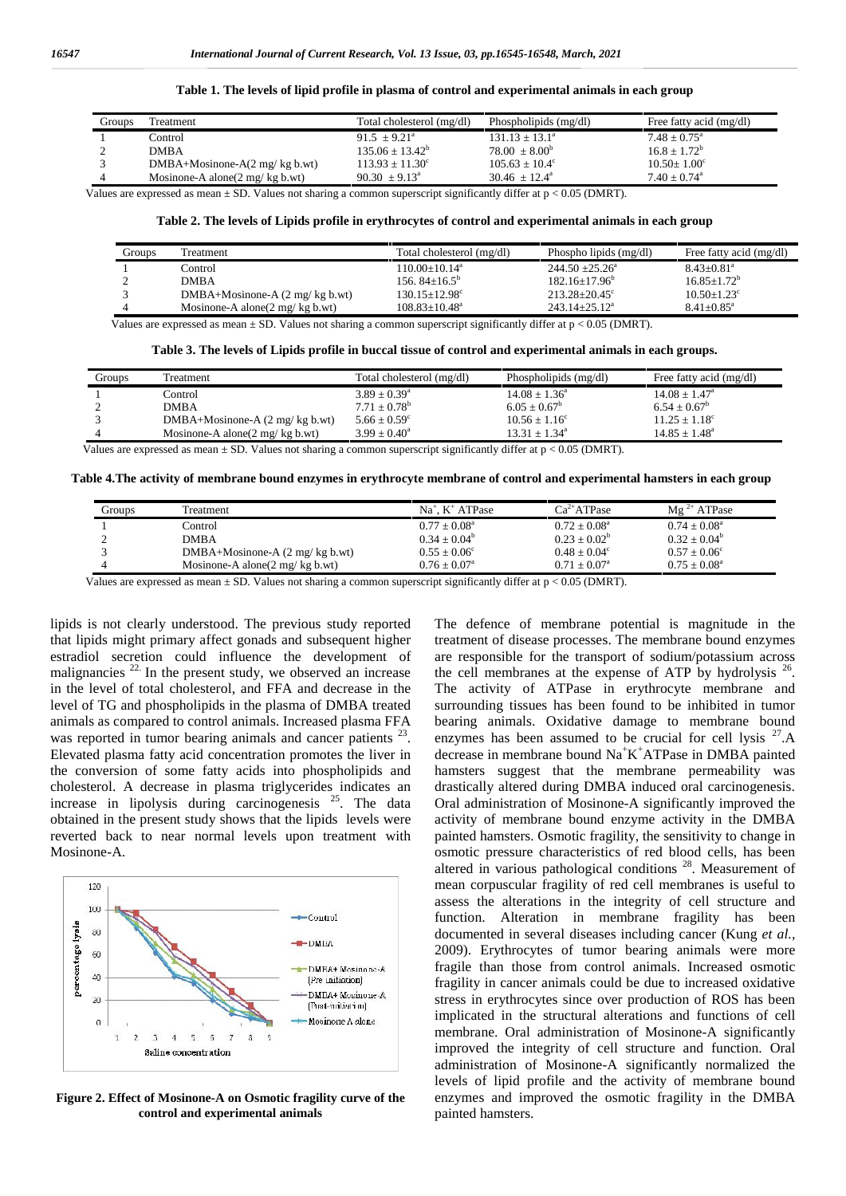|  | Table 1. The levels of lipid profile in plasma of control and experimental animals in each group |  |
|--|--------------------------------------------------------------------------------------------------|--|
|  |                                                                                                  |  |

| Groups | Treatment                                                                                                                                                                             | Total cholesterol (mg/dl) | Phospholipids (mg/dl)   | Free fatty acid (mg/dl)      |
|--------|---------------------------------------------------------------------------------------------------------------------------------------------------------------------------------------|---------------------------|-------------------------|------------------------------|
|        | Control                                                                                                                                                                               | $91.5 + 9.21^a$           | $131.13 + 13.1^{\circ}$ | $7.48 + 0.75^{\circ}$        |
|        | DMBA                                                                                                                                                                                  | $135.06 + 13.42^b$        | $78.00 + 8.00^b$        | $16.8 + 1.72^b$              |
|        | $DMBA+Mosinone-A(2 mg/kg b.wt)$                                                                                                                                                       | $113.93 + 11.30^{\circ}$  | $105.63 + 10.4^{\circ}$ | $10.50 + 1.00^{\circ}$       |
|        | Mosinone-A alone( $2 \text{ mg/kg b.wt}$ )                                                                                                                                            | $90.30 \pm 9.13^{\circ}$  | $30.46 + 12.4^{\circ}$  | $7.40 \pm 0.74$ <sup>a</sup> |
|        | $\mathcal{L}$ . The compact of the contract $\mathcal{L}$ . The contract of the contract of the contract of $\mathcal{L}$ . The contract of $\mathcal{L}$ $\mathcal{L}$ $\mathcal{L}$ |                           |                         |                              |

Values are expressed as mean  $\pm$  SD. Values not sharing a common superscript significantly differ at  $p < 0.05$  (DMRT).

#### **Table 2. The levels of Lipids profile in erythrocytes of control and experimental animals in each group**

| Groups | Treatment                                           | Total cholesterol (mg/dl) | Phospho lipids (mg/dl)   | Free fatty acid (mg/dl)     |
|--------|-----------------------------------------------------|---------------------------|--------------------------|-----------------------------|
|        | Control                                             | $110.00+10.14^a$          | $244.50 + 25.26^{\circ}$ | $8.43 + 0.81$ <sup>a</sup>  |
|        | <b>DMRA</b>                                         | 156, $84+16.5^{\circ}$    | $182.16 + 17.96^b$       | $16.85 + 1.72^b$            |
|        | DMBA+Mosinone-A $(2 \text{ mg/kg b.wt})$            | $130.15 + 12.98^{\circ}$  | $213.28 + 20.45^{\circ}$ | $10.50 + 1.23$ <sup>c</sup> |
|        | Mosinone-A alone( $2 \text{ mg}/ \text{ kg b.wt}$ ) | $108.83 + 10.48^a$        | $243.14 + 25.12^a$       | $8.41 + 0.85$ <sup>a</sup>  |

Values are expressed as mean ± SD. Values not sharing a common superscript significantly differ at p < 0.05 (DMRT).

**Table 3. The levels of Lipids profile in buccal tissue of control and experimental animals in each groups.**

| Groups | Treatment                                           | Total cholesterol (mg/dl) | Phospholipids (mg/dl)    | Free fatty acid (mg/dl)  |
|--------|-----------------------------------------------------|---------------------------|--------------------------|--------------------------|
|        | Control                                             | $3.89 \pm 0.39^{\circ}$   | $14.08 \pm 1.36^{\circ}$ | $14.08 + 1.47^{\circ}$   |
|        | <b>DMBA</b>                                         | $7.71 + 0.78^{\rm b}$     | $6.05 + 0.67^b$          | $6.54 + 0.67^b$          |
|        | DMBA+Mosinone-A $(2 \text{ mg/kg b.wt})$            | $5.66 + 0.59^{\circ}$     | $10.56 \pm 1.16^{\circ}$ | $11.25 \pm 1.18^{\circ}$ |
|        | Mosinone-A alone( $2 \text{ mg}/ \text{ kg b.wt}$ ) | $3.99 + 0.40^a$           | $13.31 \pm 1.34^{\circ}$ | $14.85 + 1.48^a$         |
| __     |                                                     | .                         | .<br>_ _ _ _ _ _ _       |                          |

Values are expressed as mean  $\pm$  SD. Values not sharing a common superscript significantly differ at  $p < 0.05$  (DMRT).

**Table 4.The activity of membrane bound enzymes in erythrocyte membrane of control and experimental hamsters in each group**

| Groups | <b>Treatment</b>                                    | $Na+$ . K <sup>+</sup> ATPase                       | $Ca^{2+}ATPase$       | $Mg^{2+}ATPase$       |
|--------|-----------------------------------------------------|-----------------------------------------------------|-----------------------|-----------------------|
|        | Control                                             | $0.77 + 0.08^a$                                     | $0.72 + 0.08^a$       | $0.74 + 0.08^a$       |
|        | <b>DMBA</b>                                         | $0.34 + 0.04^b$                                     | $0.23 + 0.02^b$       | $0.32 + 0.04^b$       |
|        | DMBA+Mosinone-A $(2 \text{ mg/kg b.wt})$            | $0.55 + 0.06^{\circ}$                               | $0.48 + 0.04^{\circ}$ | $0.57 + 0.06^{\circ}$ |
|        | Mosinone-A alone( $2 \text{ mg}/ \text{ kg b.wt}$ ) | $0.76 \pm 0.07^{\text{a}}$                          | $0.71 + 0.07a$        | $0.75 + 0.08^a$       |
| . .    |                                                     | $\sim$<br>$\rightarrow$ $\rightarrow$ $\rightarrow$ |                       |                       |

Values are expressed as mean  $\pm$  SD. Values not sharing a common superscript significantly differ at  $p < 0.05$  (DMRT).

lipids is not clearly understood. The previous study reported that lipids might primary affect gonads and subsequent higher estradiol secretion could influence the development of malignancies  $22$ . In the present study, we observed an increase in the level of total cholesterol, and FFA and decrease in the level of TG and phospholipids in the plasma of DMBA treated animals as compared to control animals. Increased plasma FFA was reported in tumor bearing animals and cancer patients  $23$ . e Elevated plasma fatty acid concentration promotes the liver in the conversion of some fatty acids into phospholipids and cholesterol. A decrease in plasma triglycerides indicates an increase in lipolysis during carcinogenesis <sup>25</sup>. The data obtained in the present study shows that the lipids levels were reverted back to near normal levels upon treatment with Mosinone-A.



**Figure 2. Effect of Mosinone-A on Osmotic fragility curve of the control and experimental animals**

The defence of membrane potential is magnitude in the treatment of disease processes. The membrane bound enzymes are responsible for the transport of sodium/potassium across the cell membranes at the expense of ATP by hydrolysis  $26$ . The activity of ATPase in erythrocyte membrane and surrounding tissues has been found to be inhibited in tumor bearing animals. Oxidative damage to membrane bound enzymes has been assumed to be crucial for cell lysis <sup>27</sup>.A decrease in membrane bound Na<sup>+</sup>K<sup>+</sup>ATPase in DMBA painted hamsters suggest that the membrane permeability was drastically altered during DMBA induced oral carcinogenesis. Oral administration of Mosinone-A significantly improved the activity of membrane bound enzyme activity in the DMBA painted hamsters. Osmotic fragility, the sensitivity to change in osmotic pressure characteristics of red blood cells, has been altered in various pathological conditions<sup>28</sup>. Measurement of mean corpuscular fragility of red cell membranes is useful to assess the alterations in the integrity of cell structure and function. Alteration in membrane fragility has been documented in several diseases including cancer (Kung *et al.,* 2009). Erythrocytes of tumor bearing animals were more fragile than those from control animals. Increased osmotic fragility in cancer animals could be due to increased oxidative stress in erythrocytes since over production of ROS has been implicated in the structural alterations and functions of cell membrane. Oral administration of Mosinone-A significantly improved the integrity of cell structure and function. Oral administration of Mosinone-A significantly normalized the levels of lipid profile and the activity of membrane bound enzymes and improved the osmotic fragility in the DMBA painted hamsters.